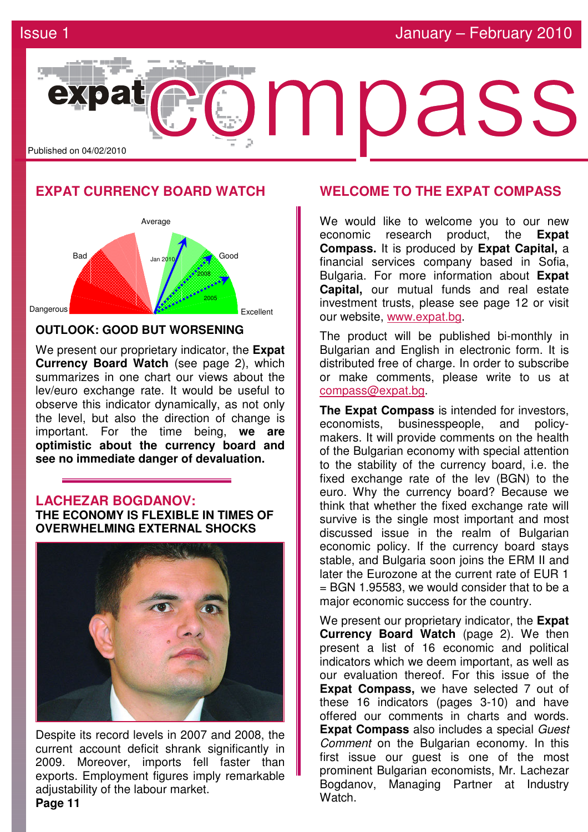

# **EXPAT CURRENCY BOARD WATCH**



### **OUTLOOK: GOOD BUT WORSENING**

We present our proprietary indicator, the **Expat Currency Board Watch** (see page 2), which summarizes in one chart our views about the lev/euro exchange rate. It would be useful to observe this indicator dynamically, as not only the level, but also the direction of change is important. For the time being, **we are optimistic about the currency board and see no immediate danger of devaluation.**

# **LACHEZAR BOGDANOV: THE ECONOMY IS FLEXIBLE IN TIMES OF**

**OVERWHELMING EXTERNAL SHOCKS**



Despite its record levels in 2007 and 2008, the current account deficit shrank significantly in 2009. Moreover, imports fell faster than exports. Employment figures imply remarkable adjustability of the labour market.

# **WELCOME TO THE EXPAT COMPASS**

We would like to welcome you to our new economic research product, the **Expat Compass.** It is produced by **Expat Capital,** a financial services company based in Sofia, Bulgaria. For more information about **Expat Capital,** our mutual funds and real estate investment trusts, please see page 12 or visit our website, www.expat.bg.

The product will be published bi-monthly in Bulgarian and English in electronic form. It is distributed free of charge. In order to subscribe or make comments, please write to us at compass@expat.bg.

**The Expat Compass** is intended for investors, economists, businesspeople, and policymakers. It will provide comments on the health of the Bulgarian economy with special attention to the stability of the currency board, i.e. the fixed exchange rate of the lev (BGN) to the euro. Why the currency board? Because we think that whether the fixed exchange rate will survive is the single most important and most discussed issue in the realm of Bulgarian economic policy. If the currency board stays stable, and Bulgaria soon joins the ERM II and later the Eurozone at the current rate of EUR 1 = BGN 1.95583, we would consider that to be a major economic success for the country.

We present our proprietary indicator, the **Expat Currency Board Watch** (page 2). We then present a list of 16 economic and political indicators which we deem important, as well as our evaluation thereof. For this issue of the **Expat Compass,** we have selected 7 out of these 16 indicators (pages 3-10) and have offered our comments in charts and words. **Expat Compass** also includes a special *Guest* Comment on the Bulgarian economy. In this first issue our guest is one of the most prominent Bulgarian economists, Mr. Lachezar Bogdanov, Managing Partner at Industry Watch.

**Page 11**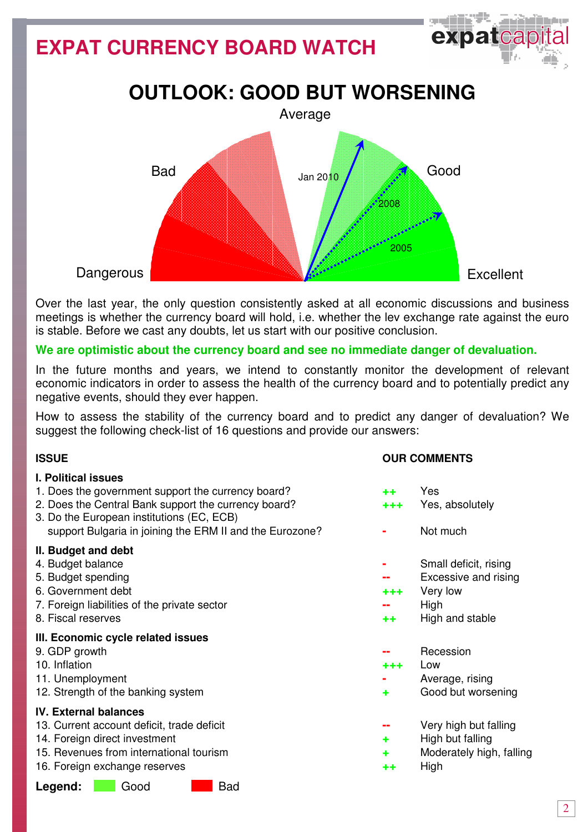# **EXPAT CURRENCY BOARD WATCH**





Over the last year, the only question consistently asked at all economic discussions and business meetings is whether the currency board will hold, i.e. whether the lev exchange rate against the euro is stable. Before we cast any doubts, let us start with our positive conclusion.

### **We are optimistic about the currency board and see no immediate danger of devaluation.**

In the future months and years, we intend to constantly monitor the development of relevant economic indicators in order to assess the health of the currency board and to potentially predict any negative events, should they ever happen.

How to assess the stability of the currency board and to predict any danger of devaluation? We suggest the following check-list of 16 questions and provide our answers:

### **I. Political issues**

- 1. Does the government support the currency board? **++** Yes
- 2. Does the Central Bank support the currency board? **+++** Yes, absolutely
- 3. Do the European institutions (EC, ECB) support Bulgaria in joining the ERM II and the Eurozone? **- -** Not much

### ІІ**. Budget and debt**

- 
- 
- 6. Government debt **+++** Very low
- 7. Foreign liabilities of the private sector **Figure 1** Figure 1 and  $\mathbf{r}$  **--** High
- 

### ІІІ**. Economic cycle related issues**

- 
- 10. Inflation **+++** Low
- 
- 12. Strength of the banking system **+** Good but worsening

### **IV. External balances**

- 13. Current account deficit, trade deficit **--** Very high but falling
- 14. Foreign direct investment **and the set of the set of the set of the High but falling**
- 15. Revenues from international tourism **+** Moderately high, falling
- 16. Foreign exchange reserves **++** High

### Legend: Good Bad

### **ISSUE ISSUE** *ISSUE COMMENTS*

- 
- 
- 
- 4. Budget balance **-** Small deficit, rising
- 5. Budget spending **--** Excessive and rising
	-
	-
- 8. Fiscal reserves **++** High and stable
- 9. GDP growth **--** Recession
	-
- 11. Unemployment **11.** Unemployment
	-
	-
	-
	- -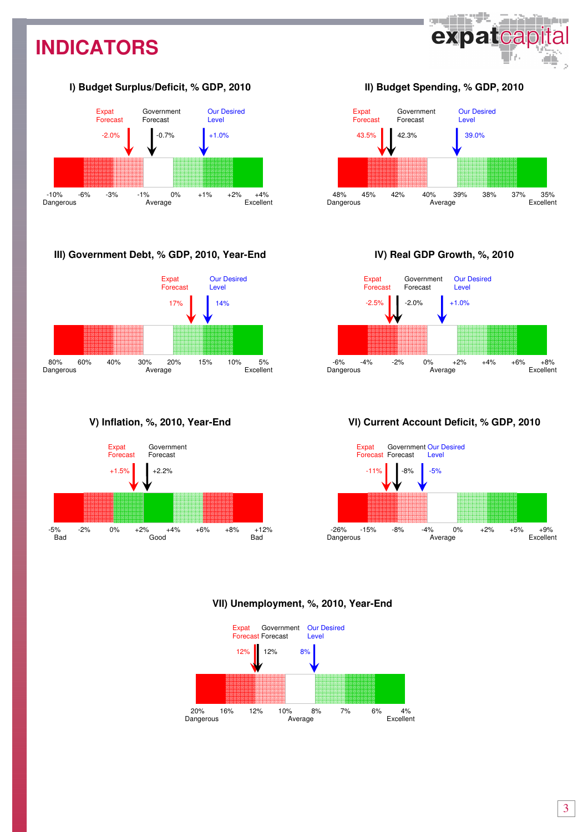# **INDICATORS**



### І**) Budget Surplus/Deficit, % GDP, 2010**



### **III) Government Debt, % GDP, 2010, Year-End**



### **V) Inflation, %, 2010, Year-End**



### ІІ**) Budget Spending, % GDP, 2010**



### І**V) Real GDP Growth, %, 2010**



### **V**І**) Current Account Deficit, % GDP, 2010**



### **VII) Unemployment, %, 2010, Year-End**

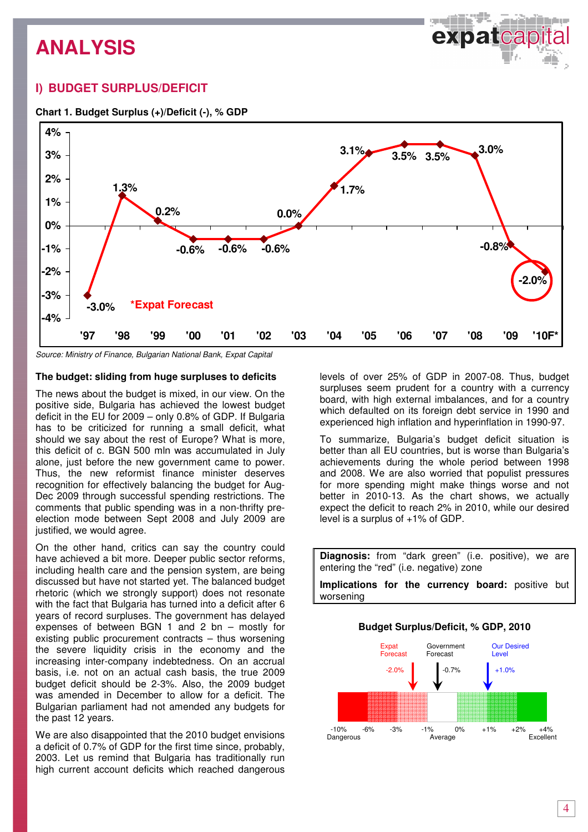

### **I) BUDGET SURPLUS/DEFICIT**



#### **Chart 1. Budget Surplus (+)/Deficit (-), % GDP**

Source: Ministry of Finance, Bulgarian National Bank, Expat Capital

### **The budget: sliding from huge surpluses to deficits**

The news about the budget is mixed, in our view. On the positive side, Bulgaria has achieved the lowest budget deficit in the EU for 2009 – only 0.8% of GDP. If Bulgaria has to be criticized for running a small deficit, what should we say about the rest of Europe? What is more, this deficit of c. BGN 500 mln was accumulated in July alone, just before the new government came to power. Thus, the new reformist finance minister deserves recognition for effectively balancing the budget for Aug-Dec 2009 through successful spending restrictions. The comments that public spending was in a non-thrifty preelection mode between Sept 2008 and July 2009 are justified, we would agree.

On the other hand, critics can say the country could have achieved a bit more. Deeper public sector reforms, including health care and the pension system, are being discussed but have not started yet. The balanced budget rhetoric (which we strongly support) does not resonate with the fact that Bulgaria has turned into a deficit after 6 years of record surpluses. The government has delayed expenses of between BGN 1 and 2 bn – mostly for existing public procurement contracts – thus worsening the severe liquidity crisis in the economy and the increasing inter-company indebtedness. On an accrual basis, i.e. not on an actual cash basis, the true 2009 budget deficit should be 2-3%. Also, the 2009 budget was amended in December to allow for a deficit. The Bulgarian parliament had not amended any budgets for the past 12 years.

We are also disappointed that the 2010 budget envisions a deficit of 0.7% of GDP for the first time since, probably, 2003. Let us remind that Bulgaria has traditionally run high current account deficits which reached dangerous

levels of over 25% of GDP in 2007-08. Thus, budget surpluses seem prudent for a country with a currency board, with high external imbalances, and for a country which defaulted on its foreign debt service in 1990 and experienced high inflation and hyperinflation in 1990-97.

To summarize, Bulgaria's budget deficit situation is better than all EU countries, but is worse than Bulgaria's achievements during the whole period between 1998 and 2008. We are also worried that populist pressures for more spending might make things worse and not better in 2010-13. As the chart shows, we actually expect the deficit to reach 2% in 2010, while our desired level is a surplus of +1% of GDP.

**Diagnosis:** from "dark green" (i.e. positive), we are entering the "red" (i.e. negative) zone **Implications for the currency board:** positive but

worsening

#### **Budget Surplus/Deficit, % GDP, 2010**

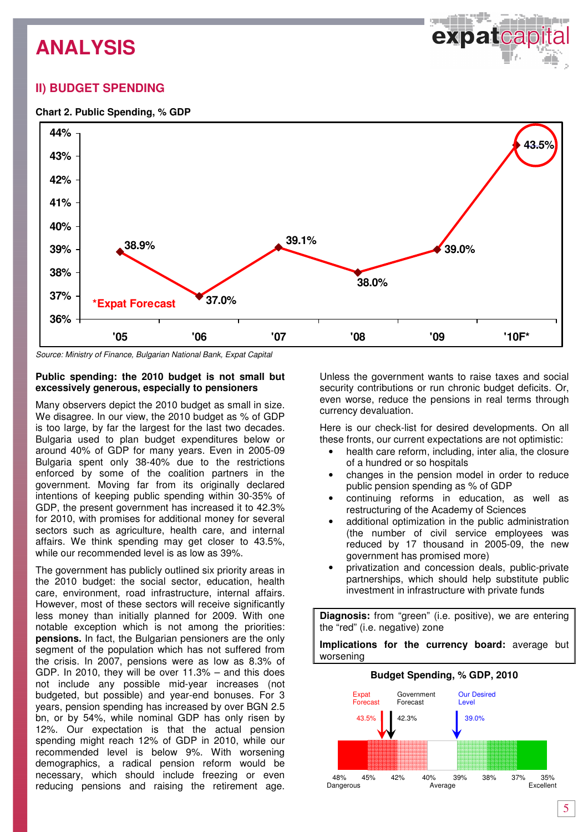expatcap

### **II) BUDGET SPENDING**





Source: Ministry of Finance, Bulgarian National Bank, Expat Capital

#### **Public spending: the 2010 budget is not small but excessively generous, especially to pensioners**

Many observers depict the 2010 budget as small in size. We disagree. In our view, the 2010 budget as % of GDP is too large, by far the largest for the last two decades. Bulgaria used to plan budget expenditures below or around 40% of GDP for many years. Even in 2005-09 Bulgaria spent only 38-40% due to the restrictions enforced by some of the coalition partners in the government. Moving far from its originally declared intentions of keeping public spending within 30-35% of GDP, the present government has increased it to 42.3% for 2010, with promises for additional money for several sectors such as agriculture, health care, and internal affairs. We think spending may get closer to 43.5%, while our recommended level is as low as 39%.

The government has publicly outlined six priority areas in the 2010 budget: the social sector, education, health care, environment, road infrastructure, internal affairs. However, most of these sectors will receive significantly less money than initially planned for 2009. With one notable exception which is not among the priorities: **pensions.** In fact, the Bulgarian pensioners are the only segment of the population which has not suffered from the crisis. In 2007, pensions were as low as 8.3% of GDP. In 2010, they will be over 11.3% – and this does not include any possible mid-year increases (not budgeted, but possible) and year-end bonuses. For 3 years, pension spending has increased by over BGN 2.5 bn, or by 54%, while nominal GDP has only risen by 12%. Our expectation is that the actual pension spending might reach 12% of GDP in 2010, while our recommended level is below 9%. With worsening demographics, a radical pension reform would be necessary, which should include freezing or even reducing pensions and raising the retirement age.

Unless the government wants to raise taxes and social security contributions or run chronic budget deficits. Or, even worse, reduce the pensions in real terms through currency devaluation.

Here is our check-list for desired developments. On all these fronts, our current expectations are not optimistic:

- health care reform, including, inter alia, the closure of a hundred or so hospitals
- changes in the pension model in order to reduce public pension spending as % of GDP
- continuing reforms in education, as well as restructuring of the Academy of Sciences
- additional optimization in the public administration (the number of civil service employees was reduced by 17 thousand in 2005-09, the new government has promised more)
- privatization and concession deals, public-private partnerships, which should help substitute public investment in infrastructure with private funds

**Diagnosis:** from "green" (i.e. positive), we are entering the "red" (i.e. negative) zone

**Implications for the currency board:** average but worsening

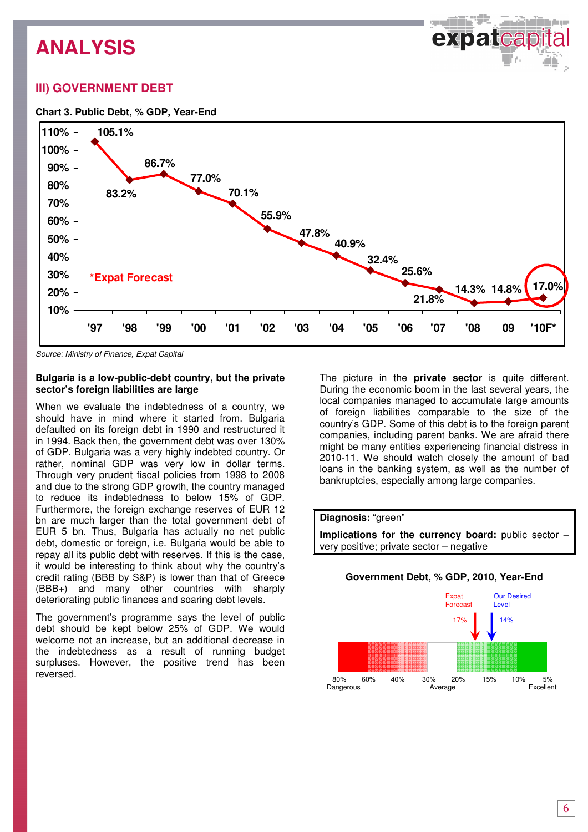ذاتات سب expatcap

### **III) GOVERNMENT DEBT**

### **Chart 3. Public Debt, % GDP, Year-End**



Source: Ministry of Finance, Expat Capital

#### **Bulgaria is a low-public-debt country, but the private sector's foreign liabilities are large**

When we evaluate the indebtedness of a country, we should have in mind where it started from. Bulgaria defaulted on its foreign debt in 1990 and restructured it in 1994. Back then, the government debt was over 130% of GDP. Bulgaria was a very highly indebted country. Or rather, nominal GDP was very low in dollar terms. Through very prudent fiscal policies from 1998 to 2008 and due to the strong GDP growth, the country managed to reduce its indebtedness to below 15% of GDP. Furthermore, the foreign exchange reserves of EUR 12 bn are much larger than the total government debt of EUR 5 bn. Thus, Bulgaria has actually no net public debt, domestic or foreign, i.e. Bulgaria would be able to repay all its public debt with reserves. If this is the case, it would be interesting to think about why the country's credit rating (BBB by S&P) is lower than that of Greece (BBB+) and many other countries with sharply deteriorating public finances and soaring debt levels.

The government's programme says the level of public debt should be kept below 25% of GDP. We would welcome not an increase, but an additional decrease in the indebtedness as a result of running budget surpluses. However, the positive trend has been reversed.

The picture in the **private sector** is quite different. During the economic boom in the last several years, the local companies managed to accumulate large amounts of foreign liabilities comparable to the size of the country's GDP. Some of this debt is to the foreign parent companies, including parent banks. We are afraid there might be many entities experiencing financial distress in 2010-11. We should watch closely the amount of bad loans in the banking system, as well as the number of bankruptcies, especially among large companies.



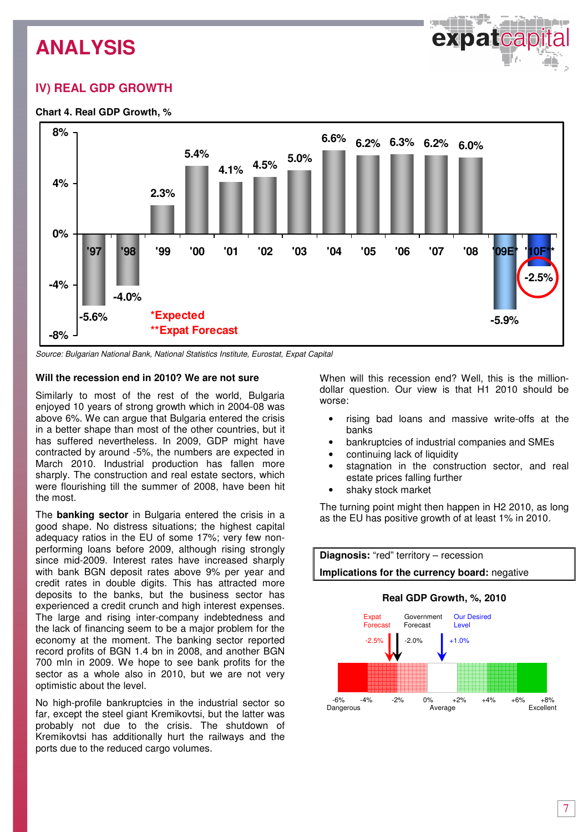# **IV) REAL GDP GROWTH**

### **Chart 4. Real GDP Growth, %**



Source: Bulgarian National Bank, National Statistics Institute, Eurostat, Expat Capital

#### **Will the recession end in 2010? We are not sure**

Similarly to most of the rest of the world, Bulgaria enjoyed 10 years of strong growth which in 2004-08 was above 6%. We can argue that Bulgaria entered the crisis in a better shape than most of the other countries, but it has suffered nevertheless. In 2009, GDP might have contracted by around -5%, the numbers are expected in March 2010. Industrial production has fallen more sharply. The construction and real estate sectors, which were flourishing till the summer of 2008, have been hit the most.

The **banking sector** in Bulgaria entered the crisis in a good shape. No distress situations; the highest capital adequacy ratios in the EU of some 17%; very few nonperforming loans before 2009, although rising strongly since mid-2009. Interest rates have increased sharply with bank BGN deposit rates above 9% per year and credit rates in double digits. This has attracted more deposits to the banks, but the business sector has experienced a credit crunch and high interest expenses. The large and rising inter-company indebtedness and the lack of financing seem to be a major problem for the economy at the moment. The banking sector reported record profits of BGN 1.4 bn in 2008, and another BGN 700 mln in 2009. We hope to see bank profits for the sector as a whole also in 2010, but we are not very optimistic about the level.

No high-profile bankruptcies in the industrial sector so far, except the steel giant Kremikovtsi, but the latter was probably not due to the crisis. The shutdown of Kremikovtsi has additionally hurt the railways and the ports due to the reduced cargo volumes.

When will this recession end? Well, this is the milliondollar question. Our view is that H1 2010 should be worse:

- rising bad loans and massive write-offs at the banks
- bankruptcies of industrial companies and SMEs
- continuing lack of liquidity
- stagnation in the construction sector, and real estate prices falling further
- shaky stock market

The turning point might then happen in H2 2010, as long as the EU has positive growth of at least 1% in 2010.



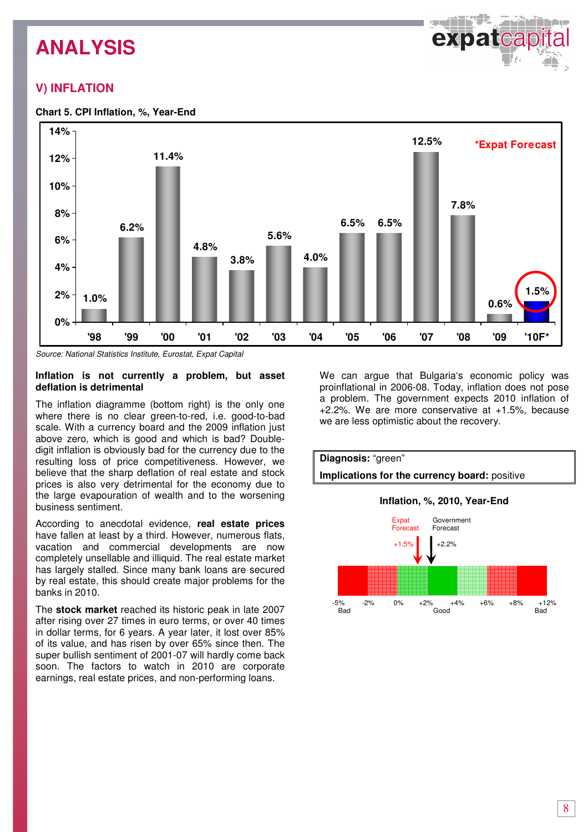# **V) INFLATION**





Source: National Statistics Institute, Eurostat, Expat Capital

#### **Inflation is not currently a problem, but asset deflation is detrimental**

The inflation diagramme (bottom right) is the only one where there is no clear green-to-red, i.e. good-to-bad scale. With a currency board and the 2009 inflation just above zero, which is good and which is bad? Doubledigit inflation is obviously bad for the currency due to the resulting loss of price competitiveness. However, we believe that the sharp deflation of real estate and stock prices is also very detrimental for the economy due to the large evapouration of wealth and to the worsening business sentiment.

According to anecdotal evidence, **real estate prices** have fallen at least by a third. However, numerous flats, vacation and commercial developments are now completely unsellable and illiquid. The real estate market has largely stalled. Since many bank loans are secured by real estate, this should create major problems for the banks in 2010.

The **stock market** reached its historic peak in late 2007 after rising over 27 times in euro terms, or over 40 times in dollar terms, for 6 years. A year later, it lost over 85% of its value, and has risen by over 65% since then. The super bullish sentiment of 2001-07 will hardly come back soon. The factors to watch in 2010 are corporate earnings, real estate prices, and non-performing loans.

We can argue that Bulgaria's economic policy was proinflational in 2006-08. Today, inflation does not pose a problem. The government expects 2010 inflation of +2.2%. We are more conservative at +1.5%, because we are less optimistic about the recovery.



Bad Good Bad

8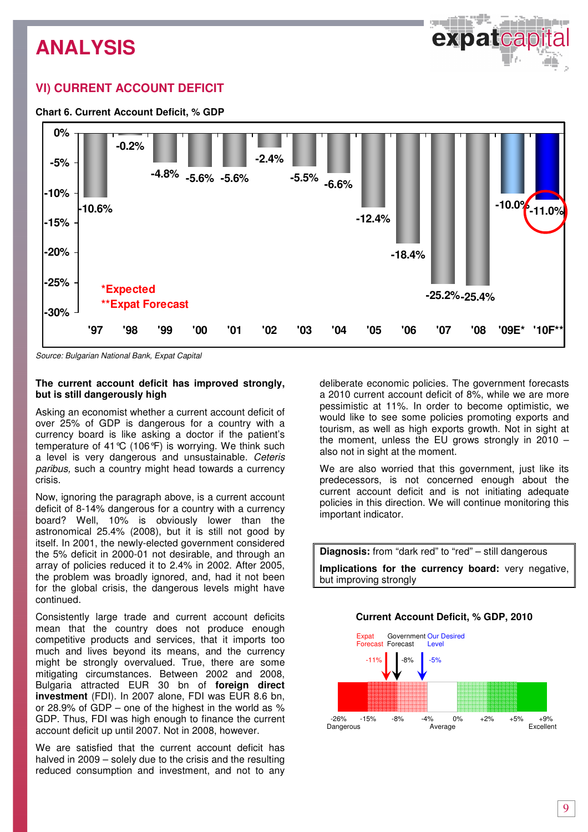# **VI) CURRENT ACCOUNT DEFICIT**

### **Chart 6. Current Account Deficit, % GDP**



Source: Bulgarian National Bank, Expat Capital

### **The current account deficit has improved strongly, but is still dangerously high**

Asking an economist whether a current account deficit of over 25% of GDP is dangerous for a country with a currency board is like asking a doctor if the patient's temperature of 41  $\mathcal{C}$  (106 °F) is worrying. We think such a level is very dangerous and unsustainable. Ceteris paribus, such a country might head towards a currency crisis.

Now, ignoring the paragraph above, is a current account deficit of 8-14% dangerous for a country with a currency board? Well, 10% is obviously lower than the astronomical 25.4% (2008), but it is still not good by itself. In 2001, the newly-elected government considered the 5% deficit in 2000-01 not desirable, and through an array of policies reduced it to 2.4% in 2002. After 2005, the problem was broadly ignored, and, had it not been for the global crisis, the dangerous levels might have continued.

Consistently large trade and current account deficits mean that the country does not produce enough competitive products and services, that it imports too much and lives beyond its means, and the currency might be strongly overvalued. True, there are some mitigating circumstances. Between 2002 and 2008, Bulgaria attracted EUR 30 bn of **foreign direct investment** (FDI). In 2007 alone, FDI was EUR 8.6 bn, or 28.9% of GDP – one of the highest in the world as % GDP. Thus, FDI was high enough to finance the current account deficit up until 2007. Not in 2008, however.

We are satisfied that the current account deficit has halved in 2009 – solely due to the crisis and the resulting reduced consumption and investment, and not to any

deliberate economic policies. The government forecasts a 2010 current account deficit of 8%, while we are more pessimistic at 11%. In order to become optimistic, we would like to see some policies promoting exports and tourism, as well as high exports growth. Not in sight at the moment, unless the EU grows strongly in  $2010$ also not in sight at the moment.

We are also worried that this government, just like its predecessors, is not concerned enough about the current account deficit and is not initiating adequate policies in this direction. We will continue monitoring this important indicator.

**Diagnosis:** from "dark red" to "red" – still dangerous **Implications for the currency board:** very negative, but improving strongly

### **Current Account Deficit, % GDP, 2010**

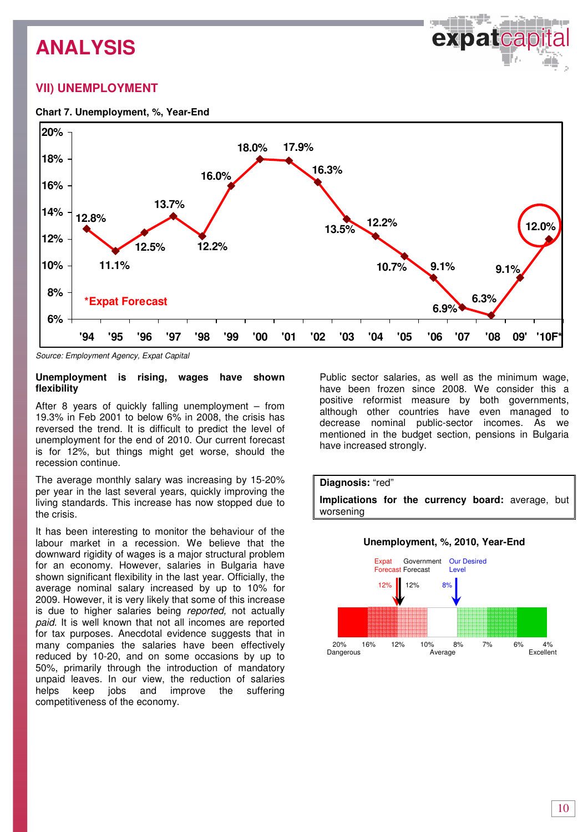# **VII) UNEMPLOYMENT**

## **Chart 7. Unemployment, %, Year-End**



Source: Employment Agency, Expat Capital

### **Unemployment is rising, wages have shown flexibility**

After 8 years of quickly falling unemployment – from 19.3% in Feb 2001 to below 6% in 2008, the crisis has reversed the trend. It is difficult to predict the level of unemployment for the end of 2010. Our current forecast is for 12%, but things might get worse, should the recession continue.

The average monthly salary was increasing by 15-20% per year in the last several years, quickly improving the living standards. This increase has now stopped due to the crisis.

It has been interesting to monitor the behaviour of the labour market in a recession. We believe that the downward rigidity of wages is a major structural problem for an economy. However, salaries in Bulgaria have shown significant flexibility in the last year. Officially, the average nominal salary increased by up to 10% for 2009. However, it is very likely that some of this increase is due to higher salaries being reported, not actually paid. It is well known that not all incomes are reported for tax purposes. Anecdotal evidence suggests that in many companies the salaries have been effectively reduced by 10-20, and on some occasions by up to 50%, primarily through the introduction of mandatory unpaid leaves. In our view, the reduction of salaries helps keep jobs and improve the suffering competitiveness of the economy.

Public sector salaries, as well as the minimum wage, have been frozen since 2008. We consider this a positive reformist measure by both governments, although other countries have even managed to decrease nominal public-sector incomes. As we mentioned in the budget section, pensions in Bulgaria have increased strongly.



### **Unemployment, %, 2010, Year-End**

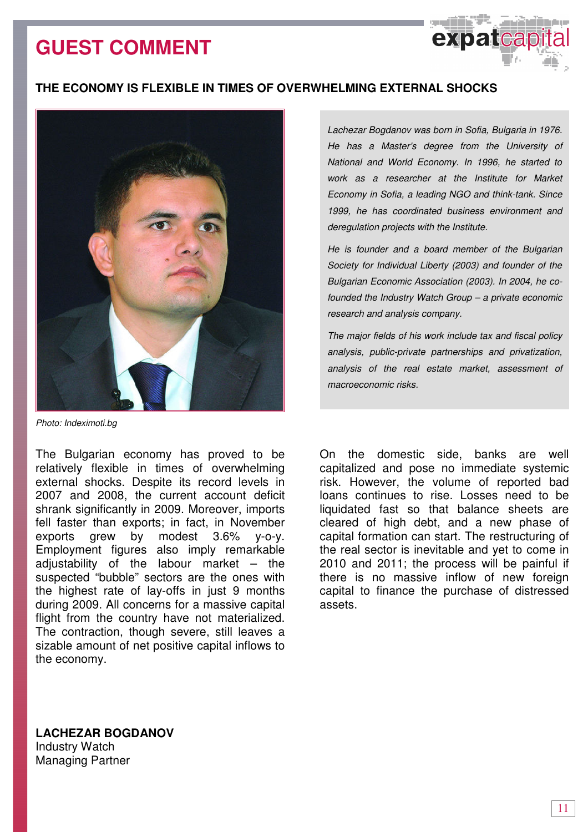# **GUEST COMMENT**





Photo: Indeximoti.bg

The Bulgarian economy has proved to be relatively flexible in times of overwhelming external shocks. Despite its record levels in 2007 and 2008, the current account deficit shrank significantly in 2009. Moreover, imports fell faster than exports; in fact, in November exports grew by modest 3.6% y-o-y. Employment figures also imply remarkable adjustability of the labour market  $-$  the suspected "bubble" sectors are the ones with the highest rate of lay-offs in just 9 months during 2009. All concerns for a massive capital flight from the country have not materialized. The contraction, though severe, still leaves a sizable amount of net positive capital inflows to the economy.

Lachezar Bogdanov was born in Sofia, Bulgaria in 1976. He has a Master's degree from the University of National and World Economy. In 1996, he started to work as a researcher at the Institute for Market Economy in Sofia, a leading NGO and think-tank. Since 1999, he has coordinated business environment and deregulation projects with the Institute.

expatca

He is founder and a board member of the Bulgarian Society for Individual Liberty (2003) and founder of the Bulgarian Economic Association (2003). In 2004, he cofounded the Industry Watch Group – a private economic research and analysis company.

The major fields of his work include tax and fiscal policy analysis, public-private partnerships and privatization, analysis of the real estate market, assessment of macroeconomic risks.

On the domestic side, banks are well capitalized and pose no immediate systemic risk. However, the volume of reported bad loans continues to rise. Losses need to be liquidated fast so that balance sheets are cleared of high debt, and a new phase of capital formation can start. The restructuring of the real sector is inevitable and yet to come in 2010 and 2011; the process will be painful if there is no massive inflow of new foreign capital to finance the purchase of distressed assets.

**LACHEZAR BOGDANOV**  Industry Watch Managing Partner